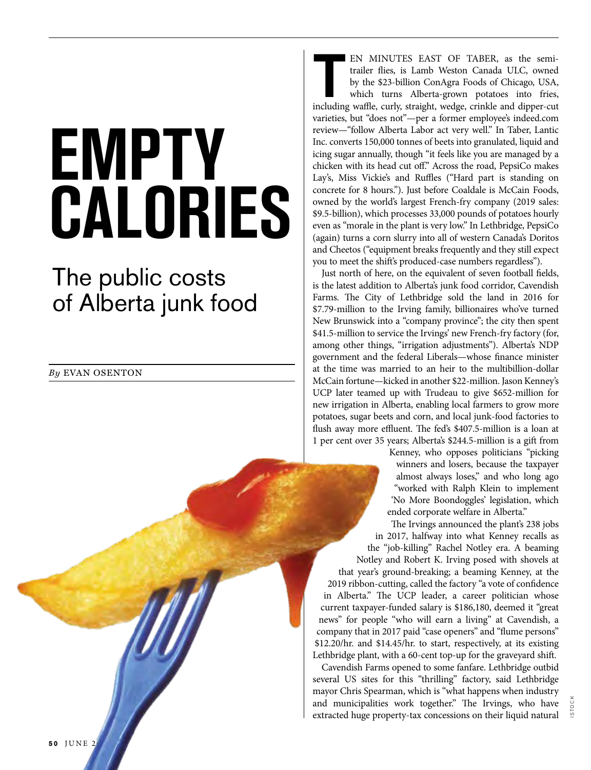## **EMPTY CALORIES**

## The public costs of Alberta junk food

*By* EVAN OSENTON

EN MINUTES EAST OF TABER, as the semi-<br>trailer flies, is Lamb Weston Canada ULC, owned<br>by the \$23-billion ConAgra Foods of Chicago, USA,<br>which turns Alberta-grown potatoes into fries,<br>including waffle, curly, straight, wed trailer flies, is Lamb Weston Canada ULC, owned by the \$23-billion ConAgra Foods of Chicago, USA, which turns Alberta-grown potatoes into fries, varieties, but "does not"—per a former employee's indeed.com review—"follow Alberta Labor act very well." In Taber, Lantic Inc. converts 150,000 tonnes of beets into granulated, liquid and icing sugar annually, though "it feels like you are managed by a chicken with its head cut off." Across the road, PepsiCo makes Lay's, Miss Vickie's and Ruffles ("Hard part is standing on concrete for 8 hours."). Just before Coaldale is McCain Foods, owned by the world's largest French-fry company (2019 sales: \$9.5-billion), which processes 33,000 pounds of potatoes hourly even as "morale in the plant is very low." In Lethbridge, PepsiCo (again) turns a corn slurry into all of western Canada's Doritos and Cheetos ("equipment breaks frequently and they still expect you to meet the shift's produced-case numbers regardless").

Just north of here, on the equivalent of seven football fields, is the latest addition to Alberta's junk food corridor, Cavendish Farms. The City of Lethbridge sold the land in 2016 for \$7.79-million to the Irving family, billionaires who've turned New Brunswick into a "company province"; the city then spent \$41.5-million to service the Irvings' new French-fry factory (for, among other things, "irrigation adjustments"). Alberta's NDP government and the federal Liberals—whose finance minister at the time was married to an heir to the multibillion-dollar McCain fortune—kicked in another \$22-million. Jason Kenney's UCP later teamed up with Trudeau to give \$652-million for new irrigation in Alberta, enabling local farmers to grow more potatoes, sugar beets and corn, and local junk-food factories to flush away more effluent. The fed's \$407.5-million is a loan at 1 per cent over 35 years; Alberta's \$244.5-million is a gift from

> Kenney, who opposes politicians "picking winners and losers, because the taxpayer almost always loses," and who long ago "worked with Ralph Klein to implement 'No More Boondoggles' legislation, which ended corporate welfare in Alberta."

The Irvings announced the plant's 238 jobs in 2017, halfway into what Kenney recalls as the "job-killing" Rachel Notley era. A beaming Notley and Robert K. Irving posed with shovels at that year's ground-breaking; a beaming Kenney, at the 2019 ribbon-cutting, called the factory "a vote of confidence in Alberta." The UCP leader, a career politician whose current taxpayer-funded salary is \$186,180, deemed it "great news" for people "who will earn a living" at Cavendish, a company that in 2017 paid "case openers" and "flume persons" \$12.20/hr. and \$14.45/hr. to start, respectively, at its existing Lethbridge plant, with a 60-cent top-up for the graveyard shift.

Cavendish Farms opened to some fanfare. Lethbridge outbid several US sites for this "thrilling" factory, said Lethbridge mayor Chris Spearman, which is "what happens when industry and municipalities work together." The Irvings, who have extracted huge property-tax concessions on their liquid natural